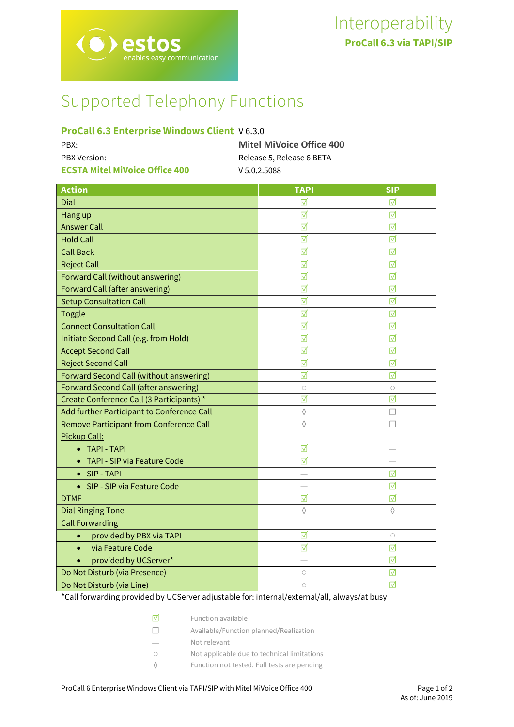# Supported Telephony Functions

# **ProCall 6.3 Enterprise Windows Client** V 6.3.0

| PBX:                                  | <b>Mitel MiVoice Office 400</b> |
|---------------------------------------|---------------------------------|
| <b>PBX Version:</b>                   | Release 5, Release 6 BETA       |
| <b>ECSTA Mitel MiVoice Office 400</b> | V 5.0.2.5088                    |

| <b>Action</b>                                | <b>TAPI</b>     | <b>SIP</b> |
|----------------------------------------------|-----------------|------------|
| Dial                                         | ⊽               | ⊽          |
| Hang up                                      | ☑               | ⊽          |
| <b>Answer Call</b>                           | $\triangledown$ | ⊽          |
| <b>Hold Call</b>                             | ☑               | ☑          |
| <b>Call Back</b>                             | ☑               | ☑          |
| <b>Reject Call</b>                           | ☑               | ☑          |
| Forward Call (without answering)             | $\triangledown$ | ⊺√         |
| Forward Call (after answering)               | ☑               | ☑          |
| <b>Setup Consultation Call</b>               | ☑               | ☑          |
| <b>Toggle</b>                                | ☑               | ☑          |
| <b>Connect Consultation Call</b>             | ☑               | ☑          |
| Initiate Second Call (e.g. from Hold)        | ☑               | ☑          |
| <b>Accept Second Call</b>                    | ☑               | ☑          |
| <b>Reject Second Call</b>                    | $\triangledown$ | ☑          |
| Forward Second Call (without answering)      | ⊺⊽              | ⊽          |
| <b>Forward Second Call (after answering)</b> | $\bigcirc$      | $\circ$    |
| Create Conference Call (3 Participants) *    | ☑               | ☑          |
| Add further Participant to Conference Call   | $\Diamond$      | □          |
| Remove Participant from Conference Call      | $\Diamond$      | П          |
| Pickup Call:                                 |                 |            |
| • TAPI - TAPI                                | ☑               |            |
| TAPI - SIP via Feature Code<br>$\bullet$     | $\triangledown$ |            |
| SIP - TAPI                                   |                 | ☑          |
| SIP - SIP via Feature Code<br>$\bullet$      |                 | ⊽          |
| <b>DTMF</b>                                  | ☑               | ☑          |
| <b>Dial Ringing Tone</b>                     | ♦               | ♦          |
| <b>Call Forwarding</b>                       |                 |            |
| provided by PBX via TAPI<br>$\bullet$        | ☑               | $\circ$    |
| via Feature Code<br>$\bullet$                | ☑               | ☑          |
| provided by UCServer*                        |                 | ⊽          |
| Do Not Disturb (via Presence)                | $\bigcirc$      | ☑          |
| Do Not Disturb (via Line)                    | $\bigcirc$      | ☑          |

\*Call forwarding provided by UCServer adjustable for: internal/external/all, always/at busy

- ☐ Available/Function planned/Realization
- Not relevant
- Not applicable due to technical limitations
- ◊ Function not tested. Full tests are pending